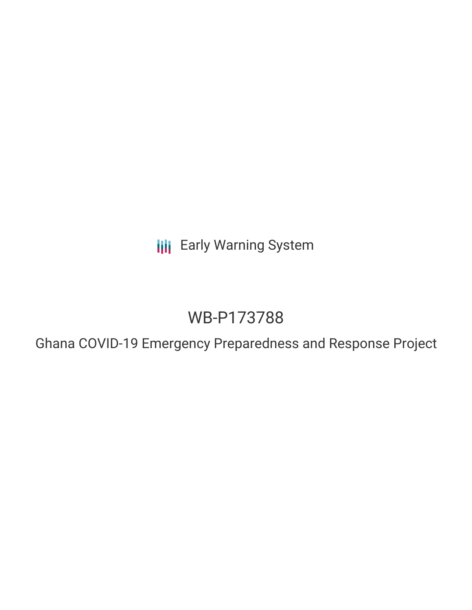**III** Early Warning System

# WB-P173788

Ghana COVID-19 Emergency Preparedness and Response Project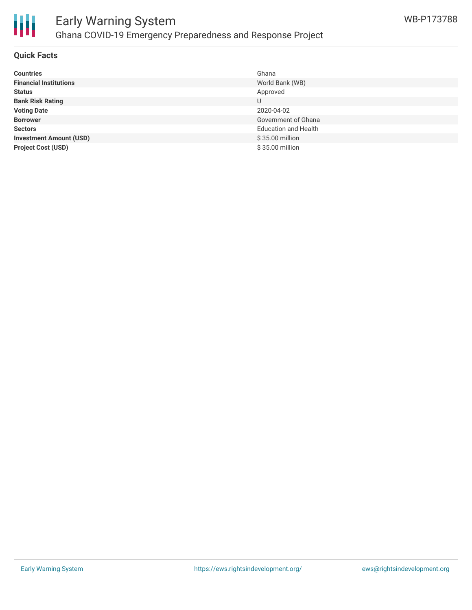

## **Quick Facts**

| <b>Countries</b>               | Ghana                       |
|--------------------------------|-----------------------------|
| <b>Financial Institutions</b>  | World Bank (WB)             |
| <b>Status</b>                  | Approved                    |
| <b>Bank Risk Rating</b>        | U                           |
| <b>Voting Date</b>             | 2020-04-02                  |
| <b>Borrower</b>                | Government of Ghana         |
| <b>Sectors</b>                 | <b>Education and Health</b> |
| <b>Investment Amount (USD)</b> | \$35.00 million             |
| <b>Project Cost (USD)</b>      | $$35.00$ million            |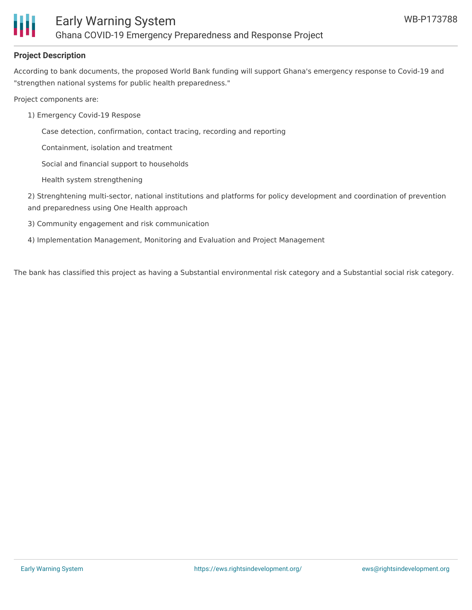

## **Project Description**

According to bank documents, the proposed World Bank funding will support Ghana's emergency response to Covid-19 and "strengthen national systems for public health preparedness."

Project components are:

- 1) Emergency Covid-19 Respose
	- Case detection, confirmation, contact tracing, recording and reporting
	- Containment, isolation and treatment
	- Social and financial support to households
	- Health system strengthening

2) Strenghtening multi-sector, national institutions and platforms for policy development and coordination of prevention and preparedness using One Health approach

- 3) Community engagement and risk communication
- 4) Implementation Management, Monitoring and Evaluation and Project Management

The bank has classified this project as having a Substantial environmental risk category and a Substantial social risk category.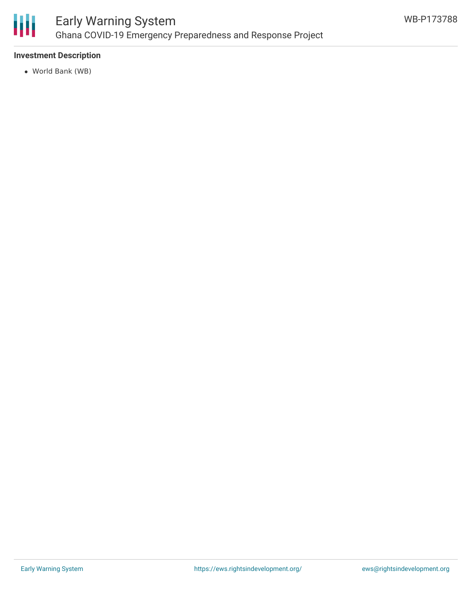

## **Investment Description**

World Bank (WB)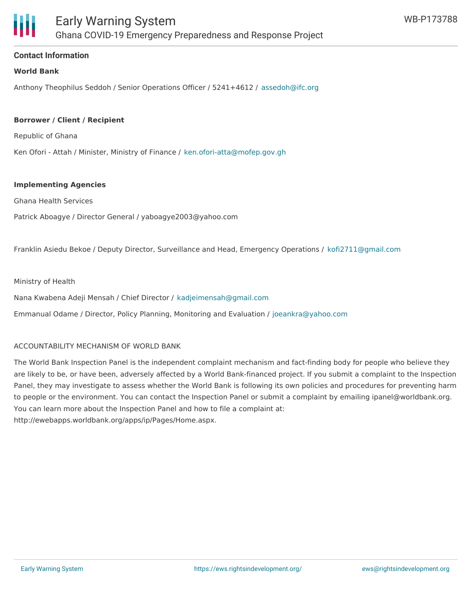

### **Contact Information**

#### **World Bank**

Anthony Theophilus Seddoh / Senior Operations Officer / 5241+4612 / [assedoh@ifc.org](mailto:assedoh@ifc.org)

#### **Borrower / Client / Recipient**

Republic of Ghana

Ken Ofori - Attah / Minister, Ministry of Finance / [ken.ofori-atta@mofep.gov.gh](mailto:ken.ofori-atta@mofep.gov.gh)

#### **Implementing Agencies**

Ghana Health Services

Patrick Aboagye / Director General / yaboagye2003@yahoo.com

Franklin Asiedu Bekoe / Deputy Director, Surveillance and Head, Emergency Operations / [kofi2711@gmail.com](mailto:kofi2711@gmail.com)

#### Ministry of Health

Nana Kwabena Adeji Mensah / Chief Director / [kadjeimensah@gmail.com](mailto:kadjeimensah@gmail.com)

Emmanual Odame / Director, Policy Planning, Monitoring and Evaluation / [joeankra@yahoo.com](mailto:joeankra@yahoo.com)

#### ACCOUNTABILITY MECHANISM OF WORLD BANK

The World Bank Inspection Panel is the independent complaint mechanism and fact-finding body for people who believe they are likely to be, or have been, adversely affected by a World Bank-financed project. If you submit a complaint to the Inspection Panel, they may investigate to assess whether the World Bank is following its own policies and procedures for preventing harm to people or the environment. You can contact the Inspection Panel or submit a complaint by emailing ipanel@worldbank.org. You can learn more about the Inspection Panel and how to file a complaint at: http://ewebapps.worldbank.org/apps/ip/Pages/Home.aspx.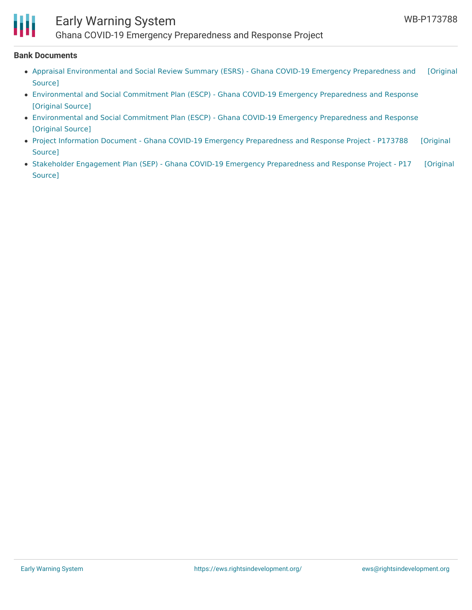

## Early Warning System

Ghana COVID-19 Emergency Preparedness and Response Project

#### **Bank Documents**

- Appraisal [Environmental](https://ewsdata.rightsindevelopment.org/files/documents/88/WB-P173788_N7LegyW.pdf) and Social Review Summary (ESRS) Ghana COVID-19 Emergency Preparedness and [Original Source]
- [Environmental](https://ewsdata.rightsindevelopment.org/files/documents/88/WB-P173788_P7pLU5m.pdf) and Social Commitment Plan (ESCP) Ghana COVID-19 Emergency Preparedness and Response [\[Original](http://documents.worldbank.org/curated/en/993841585070904693/pdf/Environmental-and-Social-Commitment-Plan-ESCP-Ghana-COVID-19-Emergency-Preparedness-and-Response-Project-P173788.pdf) Source]
- [Environmental](https://ewsdata.rightsindevelopment.org/files/documents/88/WB-P173788_tPcWbq1.pdf) and Social Commitment Plan (ESCP) Ghana COVID-19 Emergency Preparedness and Response [\[Original](http://documents.worldbank.org/curated/en/960671585231767493/pdf/Environmental-and-Social-Commitment-Plan-ESCP-Ghana-COVID-19-Emergency-Preparedness-and-Response-Project-P173788.pdf) Source]
- Project Information Document Ghana COVID-19 Emergency [Preparedness](https://ewsdata.rightsindevelopment.org/files/documents/88/WB-P173788.pdf) and Response Project P173788 [Original Source]
- Stakeholder Engagement Plan (SEP) Ghana COVID-19 Emergency [Preparedness](https://ewsdata.rightsindevelopment.org/files/documents/88/WB-P173788_3MCMvQL.pdf) and Response Project P17 [Original Source]